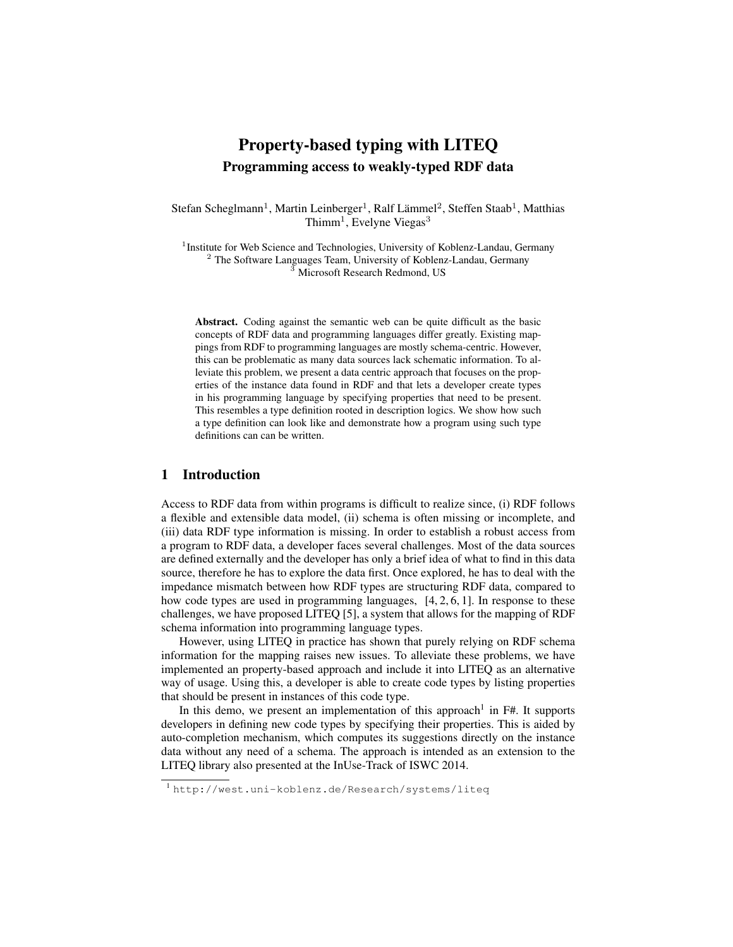# Property-based typing with LITEQ Programming access to weakly-typed RDF data

Stefan Scheglmann<sup>1</sup>, Martin Leinberger<sup>1</sup>, Ralf Lämmel<sup>2</sup>, Steffen Staab<sup>1</sup>, Matthias Thimm<sup>1</sup>, Evelyne Viegas<sup>3</sup>

<sup>1</sup> Institute for Web Science and Technologies, University of Koblenz-Landau, Germany  $2$  The Software Languages Team, University of Koblenz-Landau, Germany <sup>3</sup> Microsoft Research Redmond, US

Abstract. Coding against the semantic web can be quite difficult as the basic concepts of RDF data and programming languages differ greatly. Existing mappings from RDF to programming languages are mostly schema-centric. However, this can be problematic as many data sources lack schematic information. To alleviate this problem, we present a data centric approach that focuses on the properties of the instance data found in RDF and that lets a developer create types in his programming language by specifying properties that need to be present. This resembles a type definition rooted in description logics. We show how such a type definition can look like and demonstrate how a program using such type definitions can can be written.

## 1 Introduction

Access to RDF data from within programs is difficult to realize since, (i) RDF follows a flexible and extensible data model, (ii) schema is often missing or incomplete, and (iii) data RDF type information is missing. In order to establish a robust access from a program to RDF data, a developer faces several challenges. Most of the data sources are defined externally and the developer has only a brief idea of what to find in this data source, therefore he has to explore the data first. Once explored, he has to deal with the impedance mismatch between how RDF types are structuring RDF data, compared to how code types are used in programming languages, [4, 2, 6, 1]. In response to these challenges, we have proposed LITEQ [5], a system that allows for the mapping of RDF schema information into programming language types.

However, using LITEQ in practice has shown that purely relying on RDF schema information for the mapping raises new issues. To alleviate these problems, we have implemented an property-based approach and include it into LITEQ as an alternative way of usage. Using this, a developer is able to create code types by listing properties that should be present in instances of this code type.

In this demo, we present an implementation of this approach<sup>1</sup> in  $F#$ . It supports developers in defining new code types by specifying their properties. This is aided by auto-completion mechanism, which computes its suggestions directly on the instance data without any need of a schema. The approach is intended as an extension to the LITEQ library also presented at the InUse-Track of ISWC 2014.

<sup>1</sup> http://west.uni-koblenz.de/Research/systems/liteq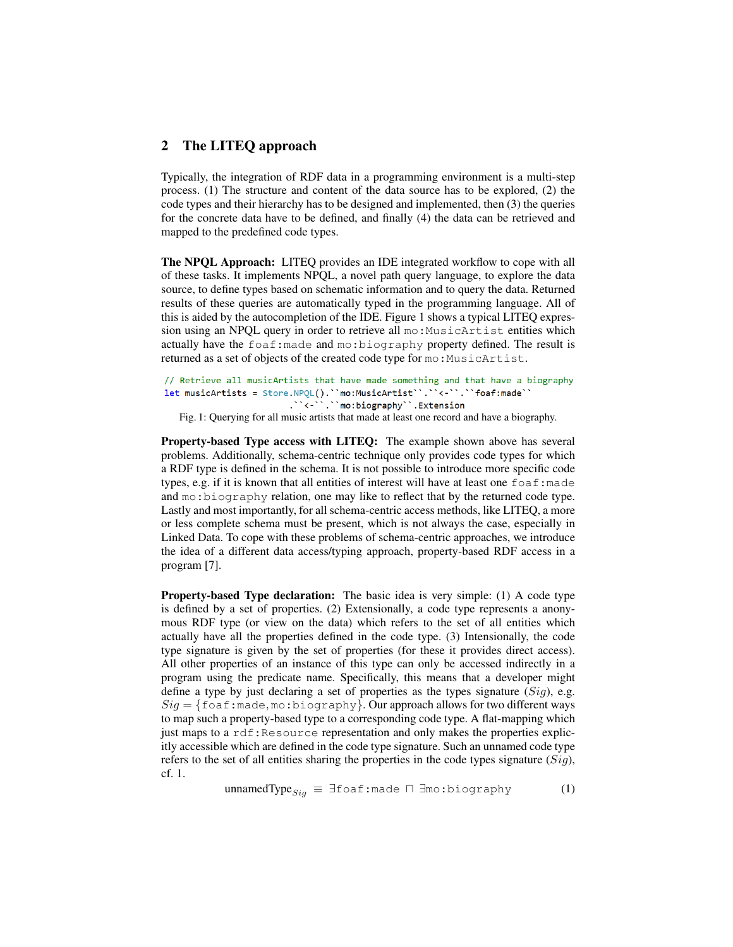### 2 The LITEQ approach

Typically, the integration of RDF data in a programming environment is a multi-step process. (1) The structure and content of the data source has to be explored, (2) the code types and their hierarchy has to be designed and implemented, then (3) the queries for the concrete data have to be defined, and finally (4) the data can be retrieved and mapped to the predefined code types.

The NPQL Approach: LITEQ provides an IDE integrated workflow to cope with all of these tasks. It implements NPQL, a novel path query language, to explore the data source, to define types based on schematic information and to query the data. Returned results of these queries are automatically typed in the programming language. All of this is aided by the autocompletion of the IDE. Figure 1 shows a typical LITEQ expression using an NPQL query in order to retrieve all mo: MusicArtist entities which actually have the foaf:made and mo:biography property defined. The result is returned as a set of objects of the created code type for mo: MusicArtist.

```
// Retrieve all musicArtists that have made something and that have a biography
\begin{minipage}{0.9\linewidth} \textbf{let musicArticles} = \textit{Store NPQL().} ``mo:MusicArtist ````````` for a frame` \end{minipage}."<-"."mo:biography".Extension
```
Fig. 1: Querying for all music artists that made at least one record and have a biography.

Property-based Type access with LITEQ: The example shown above has several problems. Additionally, schema-centric technique only provides code types for which a RDF type is defined in the schema. It is not possible to introduce more specific code types, e.g. if it is known that all entities of interest will have at least one  $f \circ af :$ made and mo:biography relation, one may like to reflect that by the returned code type. Lastly and most importantly, for all schema-centric access methods, like LITEQ, a more or less complete schema must be present, which is not always the case, especially in Linked Data. To cope with these problems of schema-centric approaches, we introduce the idea of a different data access/typing approach, property-based RDF access in a program [7].

Property-based Type declaration: The basic idea is very simple: (1) A code type is defined by a set of properties. (2) Extensionally, a code type represents a anonymous RDF type (or view on the data) which refers to the set of all entities which actually have all the properties defined in the code type. (3) Intensionally, the code type signature is given by the set of properties (for these it provides direct access). All other properties of an instance of this type can only be accessed indirectly in a program using the predicate name. Specifically, this means that a developer might define a type by just declaring a set of properties as the types signature  $(Sig)$ , e.g.  $Sig = \{\text{foaf} : \text{made}, \text{mo} : \text{biography}\}.$  Our approach allows for two different ways to map such a property-based type to a corresponding code type. A flat-mapping which just maps to a  $\text{rdf}:$ Resource representation and only makes the properties explicitly accessible which are defined in the code type signature. Such an unnamed code type refers to the set of all entities sharing the properties in the code types signature  $(Siq)$ , cf. 1.

$$
unnamedType_{Sig} \equiv \exists \text{foaf:} \text{made} \sqcap \exists \text{mo:} \text{biography} \tag{1}
$$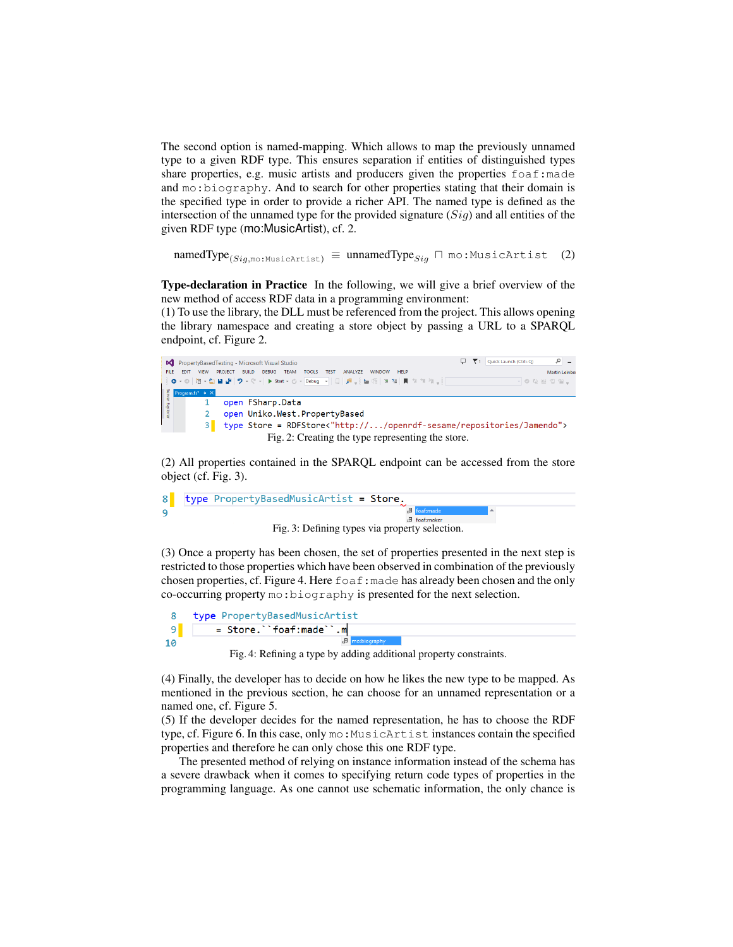The second option is named-mapping. Which allows to map the previously unnamed type to a given RDF type. This ensures separation if entities of distinguished types share properties, e.g. music artists and producers given the properties  $f$  oaf: made and mo:biography. And to search for other properties stating that their domain is the specified type in order to provide a richer API. The named type is defined as the intersection of the unnamed type for the provided signature  $(Sig)$  and all entities of the given RDF type (mo:MusicArtist), cf. 2.

 $\text{namedType}_{(Sig, \text{mo}: \text{MusicArtist})} \equiv \text{unnamedType}_{Sig} \sqcap \text{mo}: \text{MusicArtist} \quad (2)$ 

Type-declaration in Practice In the following, we will give a brief overview of the new method of access RDF data in a programming environment:

(1) To use the library, the DLL must be referenced from the project. This allows opening the library namespace and creating a store object by passing a URL to a SPARQL endpoint, cf. Figure 2.



(2) All properties contained in the SPARQL endpoint can be accessed from the store object (cf. Fig. 3).



(3) Once a property has been chosen, the set of properties presented in the next step is restricted to those properties which have been observed in combination of the previously chosen properties, cf. Figure 4. Here foaf:made has already been chosen and the only co-occurring property mo:biography is presented for the next selection.

| 8 type PropertyBasedMusicArtist |
|---------------------------------|
| $=$ Store. ``foaf:made``.m      |
| <b>Ill</b> mo:biography         |

Fig. 4: Refining a type by adding additional property constraints.

(4) Finally, the developer has to decide on how he likes the new type to be mapped. As mentioned in the previous section, he can choose for an unnamed representation or a named one, cf. Figure 5.

(5) If the developer decides for the named representation, he has to choose the RDF type, cf. Figure 6. In this case, only mo:MusicArtist instances contain the specified properties and therefore he can only chose this one RDF type.

The presented method of relying on instance information instead of the schema has a severe drawback when it comes to specifying return code types of properties in the programming language. As one cannot use schematic information, the only chance is